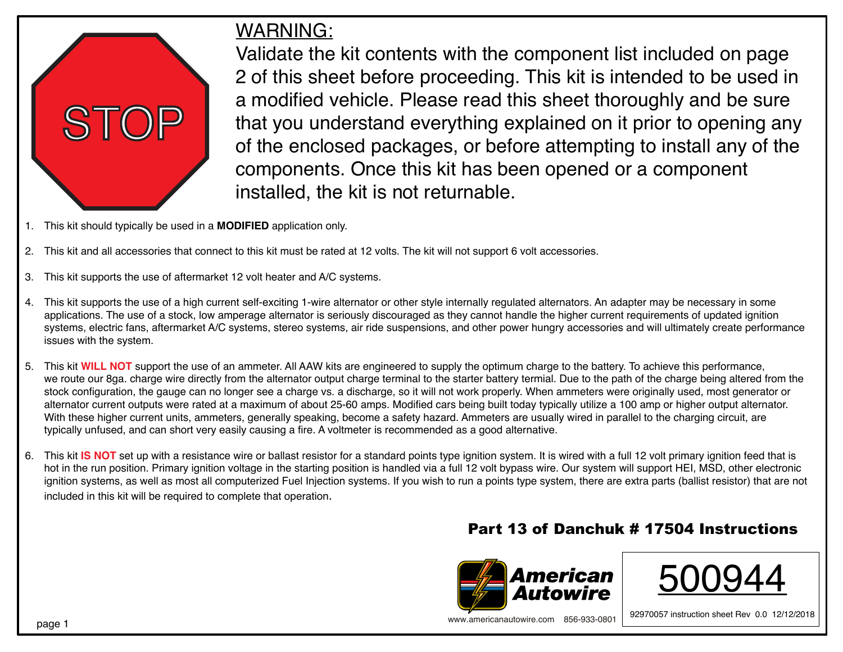

## WARNING:

Validate the kit contents with the component list included on page 2 of this sheet before proceeding. This kit is intended to be used in a modified vehicle. Please read this sheet thoroughly and be sure that you understand everything explained on it prior to opening any of the enclosed packages, or before attempting to install any of the components. Once this kit has been opened or a component installed, the kit is not returnable.

- 1. This kit should typically be used in a **MODIFIED** application only.
- 2. This kit and all accessories that connect to this kit must be rated at 12 volts. The kit will not support 6 volt accessories.
- 3. This kit supports the use of aftermarket 12 volt heater and A/C systems.
- 4. This kit supports the use of a high current self-exciting 1-wire alternator or other style internally regulated alternators. An adapter may be necessary in some applications. The use of a stock, low amperage alternator is seriously discouraged as they cannot handle the higher current requirements of updated ignition systems, electric fans, aftermarket A/C systems, stereo systems, air ride suspensions, and other power hungry accessories and will ultimately create performance issues with the system.
- 5. This kit **WILL NOT** support the use of an ammeter. All AAW kits are engineered to supply the optimum charge to the battery. To achieve this performance, we route our 8ga. charge wire directly from the alternator output charge terminal to the starter battery termial. Due to the path of the charge being altered from the stock configuration, the gauge can no longer see a charge vs. a discharge, so it will not work properly. When ammeters were originally used, most generator or alternator current outputs were rated at a maximum of about 25-60 amps. Modified cars being built today typically utilize a 100 amp or higher output alternator. With these higher current units, ammeters, generally speaking, become a safety hazard. Ammeters are usually wired in parallel to the charging circuit, are typically unfused, and can short very easily causing a fire. A voltmeter is recommended as a good alternative.
- 6. This kit **IS NOT** set up with a resistance wire or ballast resistor for a standard points type ignition system. It is wired with a full 12 volt primary ignition feed that is hot in the run position. Primary ignition voltage in the starting position is handled via a full 12 volt bypass wire. Our system will support HEI, MSD, other electronic ignition systems, as well as most all computerized Fuel Injection systems. If you wish to run a points type system, there are extra parts (ballist resistor) that are not included in this kit will be required to complete that operation.

## Part 13 of Danchuk # 17504 Instructions





92970057 instruction sheet Rev 0.0 12/12/2018 www.americanautowire.com 856-933-0801